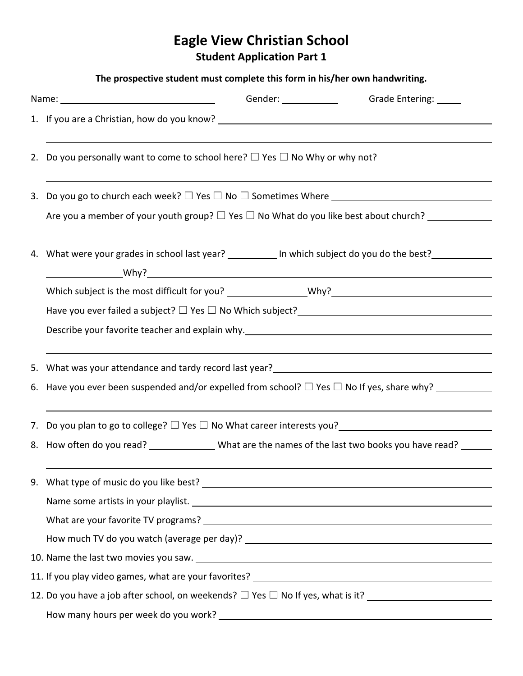# **Eagle View Christian School**

**Student Application Part 1**

|                                                                                                               | The prospective student must complete this form in his/her own handwriting.                                                                                                                                                            |  |  |  |  |  |
|---------------------------------------------------------------------------------------------------------------|----------------------------------------------------------------------------------------------------------------------------------------------------------------------------------------------------------------------------------------|--|--|--|--|--|
| Name: 1980 Mame: 1980 Mame: 1980 Mame: 1980 Mame: 1980 Mame: 1980 Mame: 1980 Mame: 1980 Mame: 1980 Mame: 1980 |                                                                                                                                                                                                                                        |  |  |  |  |  |
|                                                                                                               |                                                                                                                                                                                                                                        |  |  |  |  |  |
|                                                                                                               | 2. Do you personally want to come to school here? $\Box$ Yes $\Box$ No Why or why not?                                                                                                                                                 |  |  |  |  |  |
|                                                                                                               | 3. Do you go to church each week? $\Box$ Yes $\Box$ No $\Box$ Sometimes Where $\_\_$<br>Are you a member of your youth group? $\Box$ Yes $\Box$ No What do you like best about church?                                                 |  |  |  |  |  |
|                                                                                                               | 4. What were your grades in school last year? ___________ In which subject do you do the best? ___________                                                                                                                             |  |  |  |  |  |
|                                                                                                               |                                                                                                                                                                                                                                        |  |  |  |  |  |
|                                                                                                               | Have you ever failed a subject? $\Box$ Yes $\Box$ No Which subject?<br>                                                                                                                                                                |  |  |  |  |  |
|                                                                                                               | Describe your favorite teacher and explain why. Described and the control of the set of the control of the control of the control of the control of the control of the control of the control of the control of the control of         |  |  |  |  |  |
|                                                                                                               | 5. What was your attendance and tardy record last year?<br><u> and a subsequent and the subsequent and the subsequent and the subsequent and the subsequent and the subsequent and the subsequent and subsequent and subsequent an</u> |  |  |  |  |  |
|                                                                                                               | 6. Have you ever been suspended and/or expelled from school? $\square$ Yes $\square$ No If yes, share why?                                                                                                                             |  |  |  |  |  |
|                                                                                                               | 7. Do you plan to go to college? $\Box$ Yes $\Box$ No What career interests you?<br>                                                                                                                                                   |  |  |  |  |  |
|                                                                                                               | 8. How often do you read? _______________What are the names of the last two books you have read? ______                                                                                                                                |  |  |  |  |  |
|                                                                                                               |                                                                                                                                                                                                                                        |  |  |  |  |  |
|                                                                                                               | Name some artists in your playlist. Name of the same state of the state of the state of the state of the state of the state of the state of the state of the state of the state of the state of the state of the state of the          |  |  |  |  |  |
|                                                                                                               |                                                                                                                                                                                                                                        |  |  |  |  |  |
|                                                                                                               |                                                                                                                                                                                                                                        |  |  |  |  |  |
|                                                                                                               |                                                                                                                                                                                                                                        |  |  |  |  |  |
|                                                                                                               |                                                                                                                                                                                                                                        |  |  |  |  |  |
|                                                                                                               |                                                                                                                                                                                                                                        |  |  |  |  |  |
|                                                                                                               |                                                                                                                                                                                                                                        |  |  |  |  |  |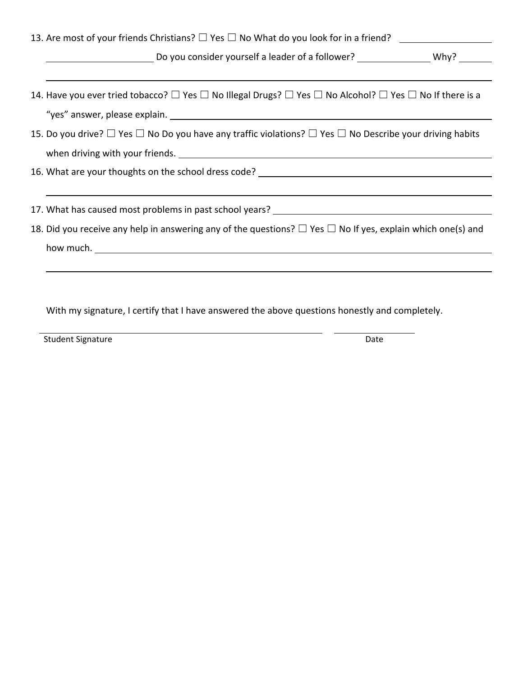| Do you consider yourself a leader of a follower? ________________________________ Why?<br>14. Have you ever tried tobacco? $\square$ Yes $\square$ No Illegal Drugs? $\square$ Yes $\square$ No Alcohol? $\square$ Yes $\square$ No If there is a<br>15. Do you drive? $\Box$ Yes $\Box$ No Do you have any traffic violations? $\Box$ Yes $\Box$ No Describe your driving habits<br>16. What are your thoughts on the school dress code? ____________________________<br>17. What has caused most problems in past school years? ________________________<br>18. Did you receive any help in answering any of the questions? $\Box$ Yes $\Box$ No If yes, explain which one(s) and |  |  |  |  |  |  |
|-------------------------------------------------------------------------------------------------------------------------------------------------------------------------------------------------------------------------------------------------------------------------------------------------------------------------------------------------------------------------------------------------------------------------------------------------------------------------------------------------------------------------------------------------------------------------------------------------------------------------------------------------------------------------------------|--|--|--|--|--|--|
|                                                                                                                                                                                                                                                                                                                                                                                                                                                                                                                                                                                                                                                                                     |  |  |  |  |  |  |
|                                                                                                                                                                                                                                                                                                                                                                                                                                                                                                                                                                                                                                                                                     |  |  |  |  |  |  |
|                                                                                                                                                                                                                                                                                                                                                                                                                                                                                                                                                                                                                                                                                     |  |  |  |  |  |  |
|                                                                                                                                                                                                                                                                                                                                                                                                                                                                                                                                                                                                                                                                                     |  |  |  |  |  |  |
|                                                                                                                                                                                                                                                                                                                                                                                                                                                                                                                                                                                                                                                                                     |  |  |  |  |  |  |
|                                                                                                                                                                                                                                                                                                                                                                                                                                                                                                                                                                                                                                                                                     |  |  |  |  |  |  |
|                                                                                                                                                                                                                                                                                                                                                                                                                                                                                                                                                                                                                                                                                     |  |  |  |  |  |  |
|                                                                                                                                                                                                                                                                                                                                                                                                                                                                                                                                                                                                                                                                                     |  |  |  |  |  |  |
|                                                                                                                                                                                                                                                                                                                                                                                                                                                                                                                                                                                                                                                                                     |  |  |  |  |  |  |
|                                                                                                                                                                                                                                                                                                                                                                                                                                                                                                                                                                                                                                                                                     |  |  |  |  |  |  |

With my signature, I certify that I have answered the above questions honestly and completely.

Student Signature Date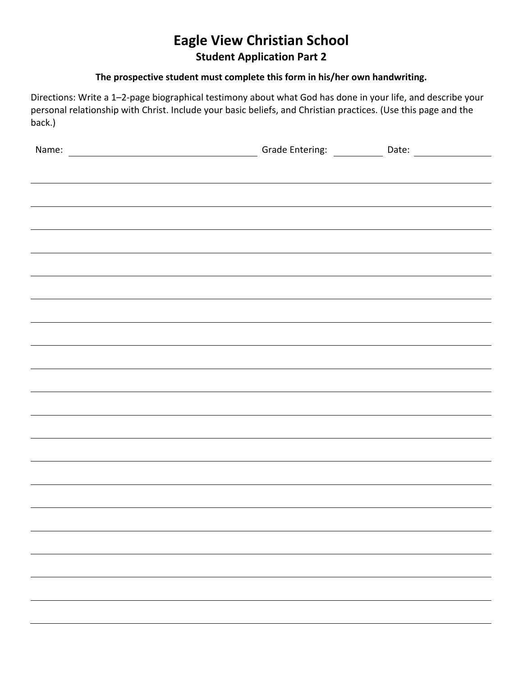## **Eagle View Christian School Student Application Part 2**

### **The prospective student must complete this form in his/her own handwriting.**

Directions: Write a 1–2‐page biographical testimony about what God has done in your life, and describe your personal relationship with Christ. Include your basic beliefs, and Christian practices. (Use this page and the back.)

| Name: Name: Name: Name: Name: Name: Name: Name: Name: Name: Name: Name: Name: Name: Name: Name: Name: Name: Name: Name: Name: Name: Name: Name: Name: Name: Name: Name: Name: Name: Name: Name: Name: Name: Name: Name: Name: |  |
|-------------------------------------------------------------------------------------------------------------------------------------------------------------------------------------------------------------------------------|--|
|                                                                                                                                                                                                                               |  |
| <u> 1989 - Andrea Andrews, Amerikaansk politik (* 1958)</u>                                                                                                                                                                   |  |
|                                                                                                                                                                                                                               |  |
|                                                                                                                                                                                                                               |  |
|                                                                                                                                                                                                                               |  |
|                                                                                                                                                                                                                               |  |
|                                                                                                                                                                                                                               |  |
|                                                                                                                                                                                                                               |  |
|                                                                                                                                                                                                                               |  |
|                                                                                                                                                                                                                               |  |
| ,我们也不会有什么?""我们的人,我们也不会有什么?""我们的人,我们也不会有什么?""我们的人,我们也不会有什么?""我们的人,我们也不会有什么?""我们的人                                                                                                                                              |  |
|                                                                                                                                                                                                                               |  |
|                                                                                                                                                                                                                               |  |
|                                                                                                                                                                                                                               |  |
|                                                                                                                                                                                                                               |  |
|                                                                                                                                                                                                                               |  |
|                                                                                                                                                                                                                               |  |
|                                                                                                                                                                                                                               |  |
|                                                                                                                                                                                                                               |  |
|                                                                                                                                                                                                                               |  |
|                                                                                                                                                                                                                               |  |
|                                                                                                                                                                                                                               |  |
|                                                                                                                                                                                                                               |  |
|                                                                                                                                                                                                                               |  |